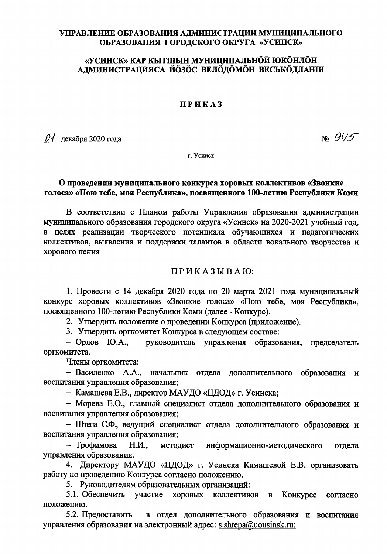# УПРАВЛЕНИЕ ОБРАЗОВАНИЯ АДМИНИСТРАЦИИ МУНИЦИПАЛЬНОГО ОБРАЗОВАНИЯ ГОРОДСКОГО ОКРУГА «УСИНСК»

# «УСИНСК» КАР КЫТШЫН МУНИЦИПАЛЬНÖЙ ЮКÖНЛÖН АДМИНИСТРАЦИЯСА ЙОЗОС ВЕЛОДОМОН ВЕСЬКОДЛАНІН

#### ПРИКАЗ

 $\mathcal{O}$  декабря 2020 года

 $N_{2}\frac{915}{5}$ 

г. Усинск

# О проведении муниципального конкурса хоровых коллективов «Звонкие голоса» «Пою тебе, моя Республика», посвященного 100-летию Республики Коми

В соответствии с Планом работы Управления образования администрации муниципального образования городского округа «Усинск» на 2020-2021 учебный год, в целях реализации творческого потенциала обучающихся и педагогических коллективов, выявления и поддержки талантов в области вокального творчества и хорового пения

# ПРИКАЗЫВАЮ:

1. Провести с 14 декабря 2020 года по 20 марта 2021 года муниципальный конкурс хоровых коллективов «Звонкие голоса» «Пою тебе, моя Республика». посвященного 100-летию Республики Коми (далее - Конкурс).

2. Утвердить положение о проведении Конкурса (приложение).

3. Утвердить оргкомитет Конкурса в следующем составе:

 $-$  Орлов Ю.А., руководитель управления образования. председатель оргкомитета.

Члены оргкомитета:

- Василенко А.А., начальник отдела дополнительного образования и воспитания управления образования;

- Камашева Е.В., директор МАУДО «ЦДОД» г. Усинска;

- Морева Е.О., главный специалист отдела дополнительного образования и воспитания управления образования;

- Штепа С.Ф., ведущий специалист отдела дополнительного образования и воспитания управления образования;

- Трофимова  $H.M.$ метолист информационно-методического отлела управления образования.

4. Директору МАУДО «ЦДОД» г. Усинска Камашевой Е.В. организовать работу по проведению Конкурса согласно положению.

5. Руководителям образовательных организаций:

5.1. Обеспечить участие хоровых коллективов в Конкурсе согласно положению.

5.2. Предоставить в отдел дополнительного образования и воспитания управления образования на электронный адрес: s.shtepa@uousinsk.ru: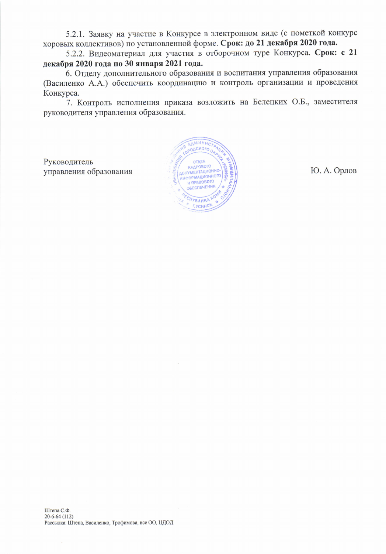5.2.1. Заявку на участие в Конкурсе в электронном виде (с пометкой конкурс хоровых коллективов) по установленной форме. Срок: до 21 декабря 2020 года.

5.2.2. Видеоматериал для участия в отборочном туре Конкурса. Срок: с 21 декабря 2020 года по 30 января 2021 года.

6. Отделу дополнительного образования и воспитания управления образования (Василенко А.А.) обеспечить координацию и контроль организации и проведения Конкурса.

7. Контроль исполнения приказа возложить на Белецких О.Б., заместителя руководителя управления образования.

Руководитель управления образования

ДАМИНИС OACKOro O OTAEA КАДРОВОГО ДОКУМЕНТАЦИОННО **MADOPMALMORITORY** ОБЕСПЕЧЕНИЯ **TYBANKAY Г.УСИНСК** 

Ю. А. Орлов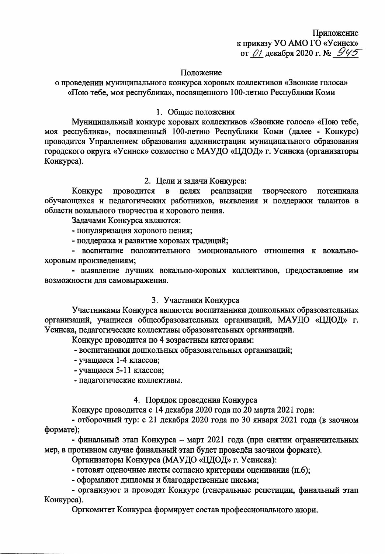Приложение к приказу УО AMO ГО «Усинск» от 01 декабря 2020 г. № 945

#### Положение

о проведении муниципального конкурса хоровых коллективов «Звонкие голоса» «Пою тебе, моя республика», посвященного 100-летию Республики Коми

#### 1. Общие положения

Муниципальный конкурс хоровых коллективов «Звонкие голоса» «Пою тебе, моя республика», посвященный 100-летию Республики Коми (далее - Конкурс) проводится Управлением образования администрации муниципального образования городского округа «Усинск» совместно с МАУДО «ЦДОД» г. Усинска (организаторы Конкурса).

# 2. Цели и задачи Конкурса:

Конкурс проводится в целях реализации творческого потенциала обучающихся и педагогических работников, выявления и поддержки талантов в области вокального творчества и хорового пения.

Задачами Конкурса являются:

- популяризация хорового пения;

- поддержка и развитие хоровых традиций;

- воспитание положительного эмоционального отношения к вокальнохоровым произведениям;

- выявление лучших вокально-хоровых коллективов, предоставление им возможности для самовыражения.

### 3. Участники Конкурса

Участниками Конкурса являются воспитанники дошкольных образовательных организаций, учащиеся общеобразовательных организаций, МАУДО «ЦДОД» г. Усинска, педагогические коллективы образовательных организаций.

Конкурс проводится по 4 возрастным категориям:

- воспитанники дошкольных образовательных организаций;

- учащиеся 1-4 классов;

- учащиеся 5-11 классов;

- педагогические коллективы.

# 4. Порядок проведения Конкурса

Конкурс проводится с 14 декабря 2020 года по 20 марта 2021 года:

- отборочный тур: с 21 декабря 2020 года по 30 января 2021 года (в заочном формате);

- финальный этап Конкурса - март 2021 года (при снятии ограничительных мер, в противном случае финальный этап будет проведён заочном формате).

Организаторы Конкурса (МАУДО «ЦДОД» г. Усинска):

- готовят оценочные листы согласно критериям оценивания (п.6);

- оформляют дипломы и благодарственные письма;

- организуют и проводят Конкурс (генеральные репетиции, финальный этап Конкурса).

Оргкомитет Конкурса формирует состав профессионального жюри.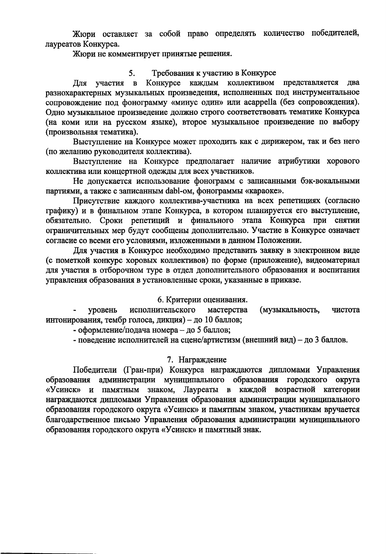Жюри оставляет за собой право определять количество победителей, лауреатов Конкурса.

Жюри не комментирует принятые решения.

#### 5. Требования к участию в Конкурсе

в Конкурсе каждым коллективом представляется два Для участия разнохарактерных музыкальных произведения, исполненных под инструментальное сопровождение под фонограмму «минус один» или acappella (без сопровождения). Одно музыкальное произведение должно строго соответствовать тематике Конкурса (на коми или на русском языке), второе музыкальное произведение по выбору (произвольная тематика).

Выступление на Конкурсе может проходить как с дирижером, так и без него (по желанию руководителя коллектива).

Выступление на Конкурсе предполагает наличие атрибутики хорового коллектива или концертной одежды для всех участников.

Не допускается использование фонограмм с записанными бэк-вокальными партиями, а также с записанным dabl-ом, фонограммы «караоке».

Присутствие каждого коллектива-участника на всех репетициях (согласно графику) и в финальном этапе Конкурса, в котором планируется его выступление, обязательно. Сроки репетиций и финального этапа Конкурса при снятии ограничительных мер будут сообщены дополнительно. Участие в Конкурсе означает согласие со всеми его условиями, изложенными в данном Положении.

Для участия в Конкурсе необходимо представить заявку в электронном виде (с пометкой конкурс хоровых коллективов) по форме (приложение), видеоматериал для участия в отборочном туре в отдел дополнительного образования и воспитания управления образования в установленные сроки, указанные в приказе.

# 6. Критерии оценивания.

исполнительского мастерства (музыкальность, уровень чистота интонирования, тембр голоса, дикция) - до 10 баллов;

- оформление/подача номера - до 5 баллов;

- поведение исполнителей на сцене/артистизм (внешний вид) - до 3 баллов.

# 7. Награждение

Победители (Гран-при) Конкурса награждаются дипломами Управления администрации муниципального образования городского округа образования и памятным знаком, Лауреаты в каждой возрастной категории «Усинск» награждаются дипломами Управления образования администрации муниципального образования городского округа «Усинск» и памятным знаком, участникам вручается благодарственное письмо Управления образования администрации муниципального образования городского округа «Усинск» и памятный знак.